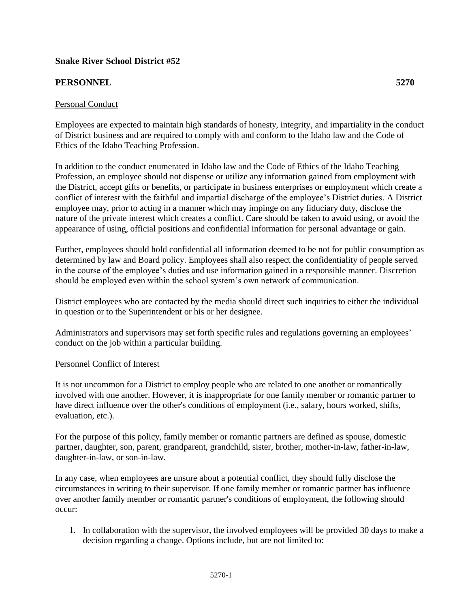# **Snake River School District #52**

## **PERSONNEL 5270**

### Personal Conduct

Employees are expected to maintain high standards of honesty, integrity, and impartiality in the conduct of District business and are required to comply with and conform to the Idaho law and the Code of Ethics of the Idaho Teaching Profession.

In addition to the conduct enumerated in Idaho law and the Code of Ethics of the Idaho Teaching Profession, an employee should not dispense or utilize any information gained from employment with the District, accept gifts or benefits, or participate in business enterprises or employment which create a conflict of interest with the faithful and impartial discharge of the employee's District duties. A District employee may, prior to acting in a manner which may impinge on any fiduciary duty, disclose the nature of the private interest which creates a conflict. Care should be taken to avoid using, or avoid the appearance of using, official positions and confidential information for personal advantage or gain.

Further, employees should hold confidential all information deemed to be not for public consumption as determined by law and Board policy. Employees shall also respect the confidentiality of people served in the course of the employee's duties and use information gained in a responsible manner. Discretion should be employed even within the school system's own network of communication.

District employees who are contacted by the media should direct such inquiries to either the individual in question or to the Superintendent or his or her designee.

Administrators and supervisors may set forth specific rules and regulations governing an employees' conduct on the job within a particular building.

#### Personnel Conflict of Interest

It is not uncommon for a District to employ people who are related to one another or romantically involved with one another. However, it is inappropriate for one family member or romantic partner to have direct influence over the other's conditions of employment (i.e., salary, hours worked, shifts, evaluation, etc.).

For the purpose of this policy, family member or romantic partners are defined as spouse, domestic partner, daughter, son, parent, grandparent, grandchild, sister, brother, mother-in-law, father-in-law, daughter-in-law, or son-in-law.

In any case, when employees are unsure about a potential conflict, they should fully disclose the circumstances in writing to their supervisor. If one family member or romantic partner has influence over another family member or romantic partner's conditions of employment, the following should occur:

1. In collaboration with the supervisor, the involved employees will be provided 30 days to make a decision regarding a change. Options include, but are not limited to: